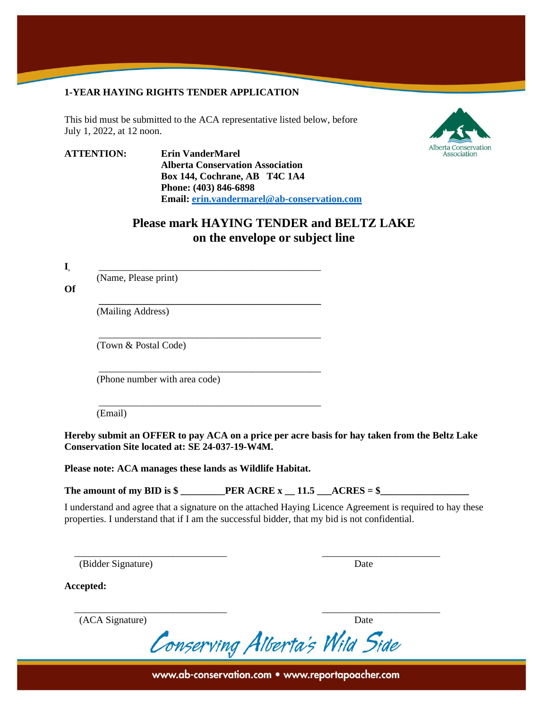#### **1-YEAR HAYING RIGHTS TENDER APPLICATION**

This bid must be submitted to the ACA representative listed below, before July 1, 2022, at 12 noon.



**ATTENTION: Erin VanderMarel Alberta Conservation Association Box 144, Cochrane, AB T4C 1A4 Phone: (403) 846-6898 Email: [erin.vandermarel@ab-conservation.com](mailto:erin.vandermarel@ab-conservation.com)**

**\_\_\_\_\_\_\_\_\_\_\_\_\_\_\_\_\_\_\_\_\_\_\_\_\_\_\_\_\_\_\_\_\_\_\_\_\_\_\_\_\_\_\_\_\_**

\_\_\_\_\_\_\_\_\_\_\_\_\_\_\_\_\_\_\_\_\_\_\_\_\_\_\_\_\_\_\_\_\_\_\_\_\_\_\_\_\_\_\_\_\_

\_\_\_\_\_\_\_\_\_\_\_\_\_\_\_\_\_\_\_\_\_\_\_\_\_\_\_\_\_\_\_\_\_\_\_\_\_\_\_\_\_\_\_\_\_

\_\_\_\_\_\_\_\_\_\_\_\_\_\_\_\_\_\_\_\_\_\_\_\_\_\_\_\_\_\_\_\_\_\_\_\_\_\_\_\_\_\_\_\_\_

# **Please mark HAYING TENDER and BELTZ LAKE on the envelope or subject line**

**I,** \_\_\_\_\_\_\_\_\_\_\_\_\_\_\_\_\_\_\_\_\_\_\_\_\_\_\_\_\_\_\_\_\_\_\_\_\_\_\_\_\_\_\_\_\_

(Name, Please print)

**Of**

(Mailing Address)

(Town & Postal Code)

(Phone number with area code)

(Email)

**Hereby submit an OFFER to pay ACA on a price per acre basis for hay taken from the Beltz Lake Conservation Site located at: SE 24-037-19-W4M.**

**Please note: ACA manages these lands as Wildlife Habitat.**

The amount of my BID is  $\frac{1}{2}$  **PER ACRE**  $x = 11.5$   $\frac{1}{2}$   $\frac{1}{2}$   $\frac{1}{2}$   $\frac{1}{2}$   $\frac{1}{2}$ 

 $\overline{\phantom{a}}$  , and the contribution of the contribution of the contribution of the contribution of the contribution of the contribution of the contribution of the contribution of the contribution of the contribution of the

 $\overline{\phantom{a}}$  , and the contract of the contract of the contract of the contract of the contract of the contract of the contract of the contract of the contract of the contract of the contract of the contract of the contrac

I understand and agree that a signature on the attached Haying Licence Agreement is required to hay these properties. I understand that if I am the successful bidder, that my bid is not confidential.

(Bidder Signature) Date

**Accepted:**

(ACA Signature) Date

Conserving Alberta's Wild Side

www.ab-conservation.com • www.reportapoacher.com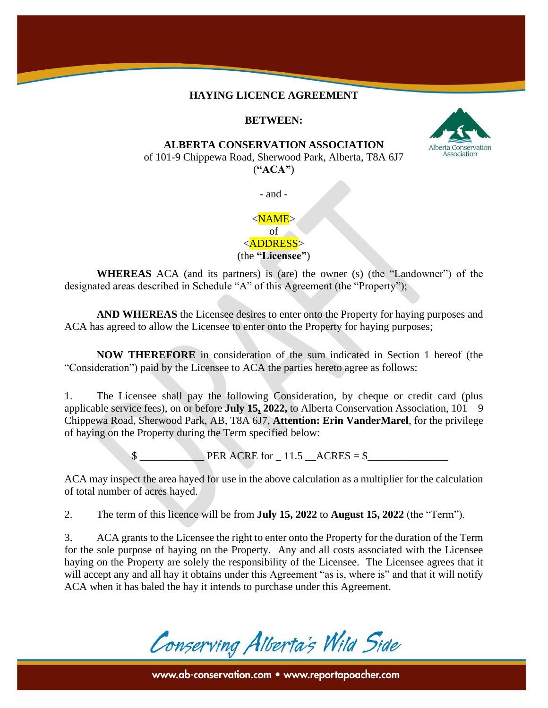#### **HAYING LICENCE AGREEMENT**

### **BETWEEN:**

#### **ALBERTA CONSERVATION ASSOCIATION**

of 101-9 Chippewa Road, Sherwood Park, Alberta, T8A 6J7 (**"ACA"**)

- and -

#### $<$ NAME $>$ of

<ADDRESS>

(the **"Licensee"**)

**WHEREAS** ACA (and its partners) is (are) the owner (s) (the "Landowner") of the designated areas described in Schedule "A" of this Agreement (the "Property");

**AND WHEREAS** the Licensee desires to enter onto the Property for haying purposes and ACA has agreed to allow the Licensee to enter onto the Property for haying purposes;

**NOW THEREFORE** in consideration of the sum indicated in Section 1 hereof (the "Consideration") paid by the Licensee to ACA the parties hereto agree as follows:

1. The Licensee shall pay the following Consideration, by cheque or credit card (plus applicable service fees), on or before **July 15, 2022,** to Alberta Conservation Association, 101 – 9 Chippewa Road, Sherwood Park, AB, T8A 6J7, **Attention: Erin VanderMarel**, for the privilege of haying on the Property during the Term specified below:

 $\text{PER ACRE for} \quad 11.5 \quad \text{ACRES} = \$$ 

ACA may inspect the area hayed for use in the above calculation as a multiplier for the calculation of total number of acres hayed.

2. The term of this licence will be from **July 15, 2022** to **August 15, 2022** (the "Term").

3. ACA grants to the Licensee the right to enter onto the Property for the duration of the Term for the sole purpose of haying on the Property. Any and all costs associated with the Licensee haying on the Property are solely the responsibility of the Licensee. The Licensee agrees that it will accept any and all hay it obtains under this Agreement "as is, where is" and that it will notify ACA when it has baled the hay it intends to purchase under this Agreement.

Conserving Alberta's Wild Side

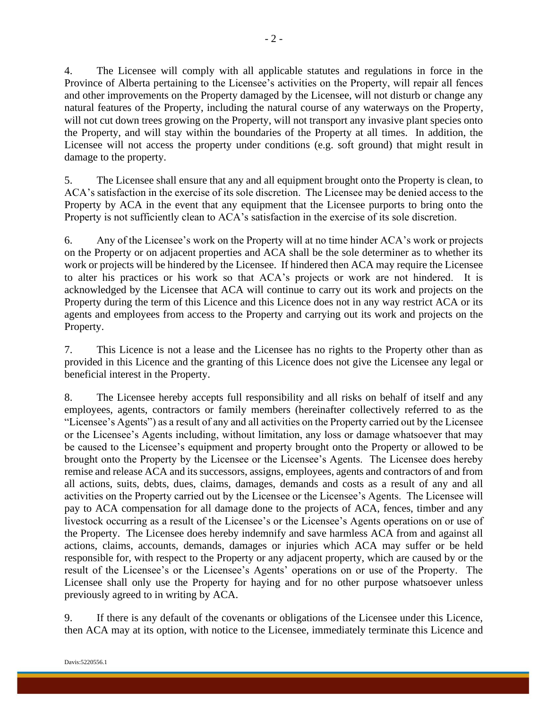4. The Licensee will comply with all applicable statutes and regulations in force in the Province of Alberta pertaining to the Licensee's activities on the Property, will repair all fences and other improvements on the Property damaged by the Licensee, will not disturb or change any natural features of the Property, including the natural course of any waterways on the Property, will not cut down trees growing on the Property, will not transport any invasive plant species onto the Property, and will stay within the boundaries of the Property at all times. In addition, the Licensee will not access the property under conditions (e.g. soft ground) that might result in damage to the property.

5. The Licensee shall ensure that any and all equipment brought onto the Property is clean, to ACA's satisfaction in the exercise of its sole discretion. The Licensee may be denied access to the Property by ACA in the event that any equipment that the Licensee purports to bring onto the Property is not sufficiently clean to ACA's satisfaction in the exercise of its sole discretion.

6. Any of the Licensee's work on the Property will at no time hinder ACA's work or projects on the Property or on adjacent properties and ACA shall be the sole determiner as to whether its work or projects will be hindered by the Licensee. If hindered then ACA may require the Licensee to alter his practices or his work so that ACA's projects or work are not hindered. It is acknowledged by the Licensee that ACA will continue to carry out its work and projects on the Property during the term of this Licence and this Licence does not in any way restrict ACA or its agents and employees from access to the Property and carrying out its work and projects on the Property.

7. This Licence is not a lease and the Licensee has no rights to the Property other than as provided in this Licence and the granting of this Licence does not give the Licensee any legal or beneficial interest in the Property.

8. The Licensee hereby accepts full responsibility and all risks on behalf of itself and any employees, agents, contractors or family members (hereinafter collectively referred to as the "Licensee's Agents") as a result of any and all activities on the Property carried out by the Licensee or the Licensee's Agents including, without limitation, any loss or damage whatsoever that may be caused to the Licensee's equipment and property brought onto the Property or allowed to be brought onto the Property by the Licensee or the Licensee's Agents. The Licensee does hereby remise and release ACA and its successors, assigns, employees, agents and contractors of and from all actions, suits, debts, dues, claims, damages, demands and costs as a result of any and all activities on the Property carried out by the Licensee or the Licensee's Agents. The Licensee will pay to ACA compensation for all damage done to the projects of ACA, fences, timber and any livestock occurring as a result of the Licensee's or the Licensee's Agents operations on or use of the Property. The Licensee does hereby indemnify and save harmless ACA from and against all actions, claims, accounts, demands, damages or injuries which ACA may suffer or be held responsible for, with respect to the Property or any adjacent property, which are caused by or the result of the Licensee's or the Licensee's Agents' operations on or use of the Property. The Licensee shall only use the Property for haying and for no other purpose whatsoever unless previously agreed to in writing by ACA.

9. If there is any default of the covenants or obligations of the Licensee under this Licence, then ACA may at its option, with notice to the Licensee, immediately terminate this Licence and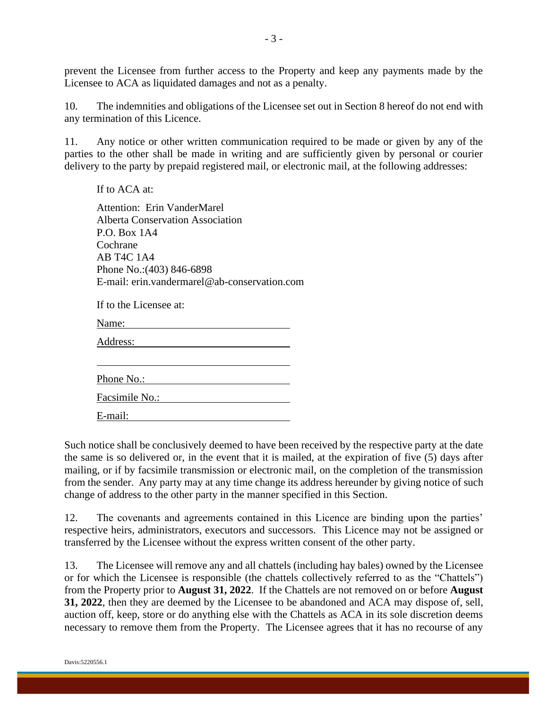prevent the Licensee from further access to the Property and keep any payments made by the Licensee to ACA as liquidated damages and not as a penalty.

10. The indemnities and obligations of the Licensee set out in Section 8 hereof do not end with any termination of this Licence.

11. Any notice or other written communication required to be made or given by any of the parties to the other shall be made in writing and are sufficiently given by personal or courier delivery to the party by prepaid registered mail, or electronic mail, at the following addresses:

If to ACA at: Attention: Erin VanderMarel Alberta Conservation Association P.O. Box 1A4 Cochrane AB T4C 1A4 Phone No.:(403) 846-6898 E-mail: erin.vandermarel@ab-conservation.com

If to the Licensee at:

Name: <u> 1980 - Johann Barbara, martin a</u>

Address: 2008. And 2008. And 2008. And 2008. And 2008. And 2008. And 2008. And 2008. And 2008. And 2008. And 2008. And 2008. And 2008. And 2008. And 2008. And 2008. And 2008. And 2008. And 2008. And 2008. And 2008. And 200

Phone No.:

E-mail:

Such notice shall be conclusively deemed to have been received by the respective party at the date the same is so delivered or, in the event that it is mailed, at the expiration of five (5) days after mailing, or if by facsimile transmission or electronic mail, on the completion of the transmission from the sender. Any party may at any time change its address hereunder by giving notice of such change of address to the other party in the manner specified in this Section.

12. The covenants and agreements contained in this Licence are binding upon the parties' respective heirs, administrators, executors and successors. This Licence may not be assigned or transferred by the Licensee without the express written consent of the other party.

13. The Licensee will remove any and all chattels (including hay bales) owned by the Licensee or for which the Licensee is responsible (the chattels collectively referred to as the "Chattels") from the Property prior to **August 31, 2022**. If the Chattels are not removed on or before **August 31, 2022**, then they are deemed by the Licensee to be abandoned and ACA may dispose of, sell, auction off, keep, store or do anything else with the Chattels as ACA in its sole discretion deems necessary to remove them from the Property. The Licensee agrees that it has no recourse of any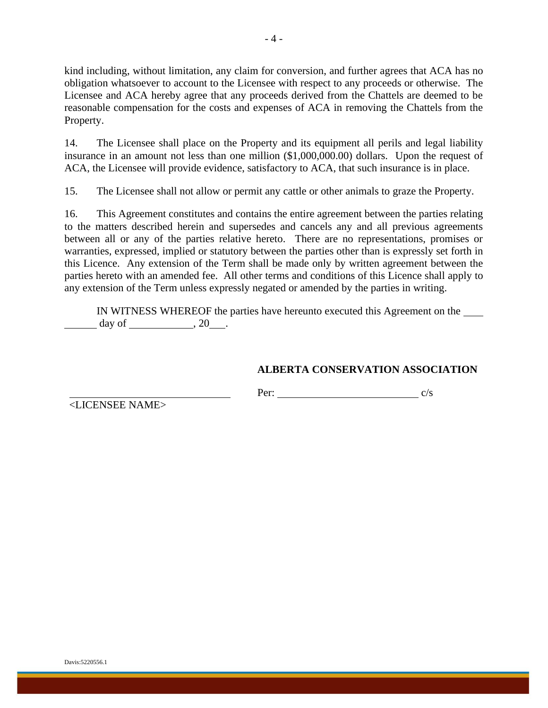kind including, without limitation, any claim for conversion, and further agrees that ACA has no obligation whatsoever to account to the Licensee with respect to any proceeds or otherwise. The Licensee and ACA hereby agree that any proceeds derived from the Chattels are deemed to be reasonable compensation for the costs and expenses of ACA in removing the Chattels from the Property.

14. The Licensee shall place on the Property and its equipment all perils and legal liability insurance in an amount not less than one million (\$1,000,000.00) dollars. Upon the request of ACA, the Licensee will provide evidence, satisfactory to ACA, that such insurance is in place.

15. The Licensee shall not allow or permit any cattle or other animals to graze the Property.

16. This Agreement constitutes and contains the entire agreement between the parties relating to the matters described herein and supersedes and cancels any and all previous agreements between all or any of the parties relative hereto. There are no representations, promises or warranties, expressed, implied or statutory between the parties other than is expressly set forth in this Licence. Any extension of the Term shall be made only by written agreement between the parties hereto with an amended fee. All other terms and conditions of this Licence shall apply to any extension of the Term unless expressly negated or amended by the parties in writing.

IN WITNESS WHEREOF the parties have hereunto executed this Agreement on the day of  $\qquad \qquad .20$ .

### **ALBERTA CONSERVATION ASSOCIATION**

Per: c/s

<LICENSEE NAME>